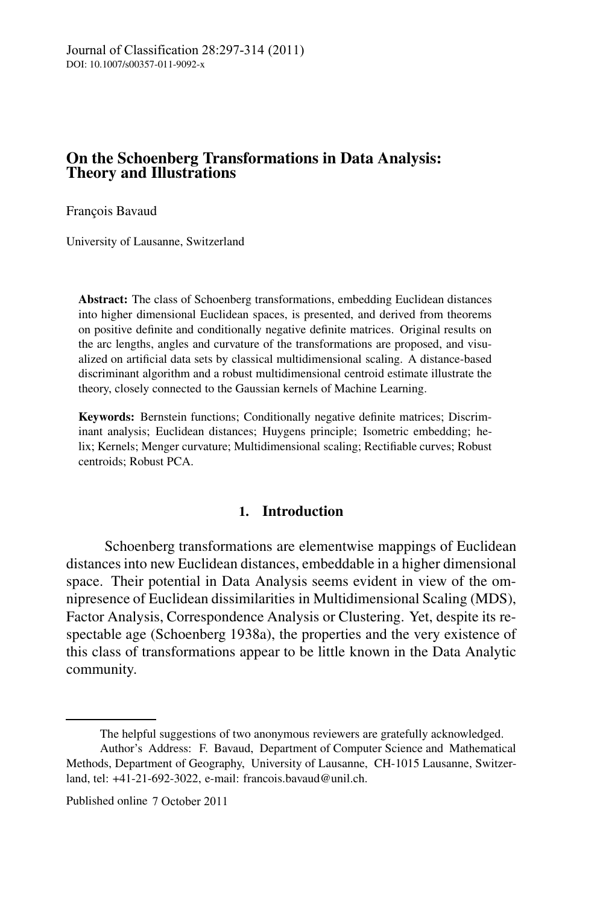# **On the Schoenberg Transformations in Data Analysis: Theory and Illustrations**

François Bavaud

University of Lausanne, Switzerland

**Abstract:** The class of Schoenberg transformations, embedding Euclidean distances into higher dimensional Euclidean spaces, is presented, and derived from theorems on positive definite and conditionally negative definite matrices. Original results on the arc lengths, angles and curvature of the transformations are proposed, and visualized on artificial data sets by classical multidimensional scaling. A distance-based discriminant algorithm and a robust multidimensional centroid estimate illustrate the theory, closely connected to the Gaussian kernels of Machine Learning.

**Keywords:** Bernstein functions; Conditionally negative definite matrices; Discriminant analysis; Euclidean distances; Huygens principle; Isometric embedding; helix; Kernels; Menger curvature; Multidimensional scaling; Rectifiable curves; Robust centroids; Robust PCA.

# **1. Introduction**

Schoenberg transformations are elementwise mappings of Euclidean distances into new Euclidean distances, embeddable in a higher dimensional space. Their potential in Data Analysis seems evident in view of the omnipresence of Euclidean dissimilarities in Multidimensional Scaling (MDS), Factor Analysis, Correspondence Analysis or Clustering. Yet, despite its respectable age (Schoenberg 1938a), the properties and the very existence of this class of transformations appear to be little known in the Data Analytic community.

The helpful suggestions of two anonymous reviewers are gratefully acknowledged. Author's Address: F. Bavaud, Department of Computer Science and Mathematical

Methods, Department of Geography, University of Lausanne, CH-1015 Lausanne, Switzerland, tel: +41-21-692-3022, e-mail: francois.bavaud@unil.ch.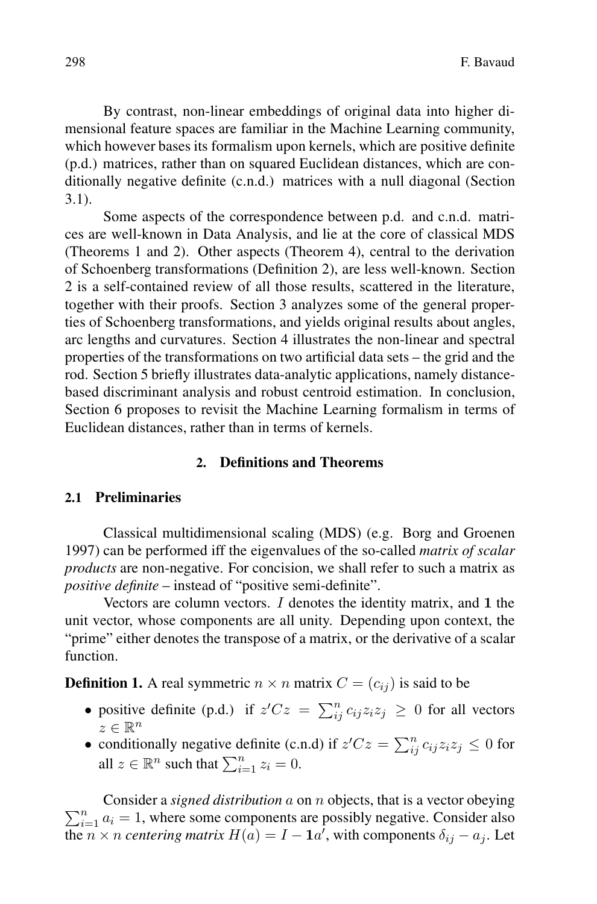By contrast, non-linear embeddings of original data into higher dimensional feature spaces are familiar in the Machine Learning community, which however bases its formalism upon kernels, which are positive definite (p.d.) matrices, rather than on squared Euclidean distances, which are conditionally negative definite (c.n.d.) matrices with a null diagonal (Section 3.1).

Some aspects of the correspondence between p.d. and c.n.d. matrices are well-known in Data Analysis, and lie at the core of classical MDS (Theorems 1 and 2). Other aspects (Theorem 4), central to the derivation of Schoenberg transformations (Definition 2), are less well-known. Section 2 is a self-contained review of all those results, scattered in the literature, together with their proofs. Section 3 analyzes some of the general properties of Schoenberg transformations, and yields original results about angles, arc lengths and curvatures. Section 4 illustrates the non-linear and spectral properties of the transformations on two artificial data sets – the grid and the rod. Section 5 briefly illustrates data-analytic applications, namely distancebased discriminant analysis and robust centroid estimation. In conclusion, Section 6 proposes to revisit the Machine Learning formalism in terms of Euclidean distances, rather than in terms of kernels.

# **2. Definitions and Theorems**

# **2.1 Preliminaries**

Classical multidimensional scaling (MDS) (e.g. Borg and Groenen 1997) can be performed iff the eigenvalues of the so-called *matrix of scalar products* are non-negative. For concision, we shall refer to such a matrix as *positive definite* – instead of "positive semi-definite".

Vectors are column vectors. I denotes the identity matrix, and 1 the unit vector, whose components are all unity. Depending upon context, the "prime" either denotes the transpose of a matrix, or the derivative of a scalar function.

**Definition 1.** A real symmetric  $n \times n$  matrix  $C = (c_{ij})$  is said to be

- positive definite (p.d.) if  $z'Cz = \sum_{ij}^{n} c_{ij}z_iz_j \ge 0$  for all vectors  $z \in \mathbb{R}^n$
- conditionally negative definite (c.n.d) if  $z'Cz = \sum_{ij}^{n} c_{ij}z_iz_j \leq 0$  for all  $z \in \mathbb{R}^n$  such that  $\sum_{i=1}^n z_i = 0$ .

 $\sum_{i=1}^{n} a_i = 1$ , where some components are possibly negative. Consider also Consider a *signed distribution* a on *n* objects, that is a vector obeying the  $n \times n$  *centering matrix*  $H(a) = I - \mathbf{1}a'$ , with components  $\delta_{ij} - a_j$ . Let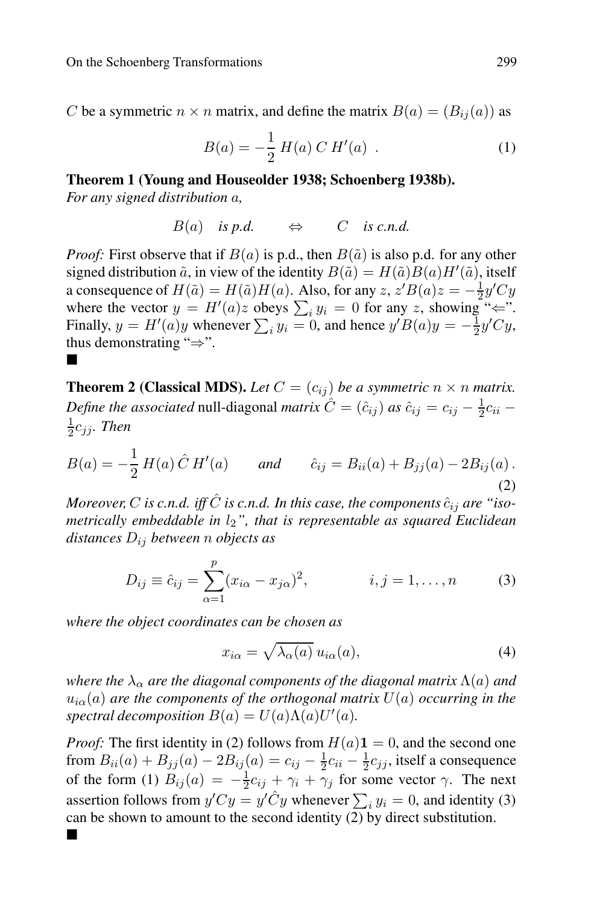C be a symmetric  $n \times n$  matrix, and define the matrix  $B(a)=(B_{ij}(a))$  as

$$
B(a) = -\frac{1}{2} H(a) C H'(a) . \qquad (1)
$$

# **Theorem 1 (Young and Houseolder 1938; Schoenberg 1938b).**

*For any signed distribution* a*,*

$$
B(a) \quad \text{is } p.d. \qquad \Leftrightarrow \qquad C \quad \text{is } c.n.d.
$$

*Proof:* First observe that if  $B(a)$  is p.d., then  $B(\tilde{a})$  is also p.d. for any other signed distribution  $\tilde{a}$ , in view of the identity  $B(\tilde{a}) = H(\tilde{a})B(a)H'(\tilde{a})$ , itself a consequence of  $H(\tilde{a}) = H(\tilde{a})H(a)$ . Also, for any  $z, z'B(a)z = -\frac{1}{2}y'Cy$ where the vector  $y = H'(a)z$  obeys  $\sum_i y_i = 0$  for any z, showing " $\Leftarrow$ ". Finally,  $y = H'(a)y$  whenever  $\sum_i y_i = 0$ , and hence  $y'B(a)y = -\frac{1}{2}y'Cy$ , thus demonstrating "⇒". **.** 

**Theorem 2 (Classical MDS).** Let  $C = (c_{ij})$  be a symmetric  $n \times n$  matrix. *Define the associated* null-diagonal *matrix*  $\hat{C} = (\hat{c}_{ij})$  *as*  $\hat{c}_{ij} = c_{ij} - \frac{1}{2}c_{ii} - \frac{1}{2}c_{ii}$  $rac{1}{2}c_{ij}$ *. Then* 

$$
B(a) = -\frac{1}{2} H(a) \hat{C} H'(a) \quad and \quad \hat{c}_{ij} = B_{ii}(a) + B_{jj}(a) - 2B_{ij}(a).
$$
\n(2)

*Moreover, C* is c.n.d. iff  $\hat{C}$  is c.n.d. In this case, the components  $\hat{c}_{ij}$  are "iso*metrically embeddable in*  $l_2$ ", that is representable as squared Euclidean *distances* Dij *between* n *objects as*

$$
D_{ij} \equiv \hat{c}_{ij} = \sum_{\alpha=1}^{p} (x_{i\alpha} - x_{j\alpha})^2, \qquad i, j = 1, ..., n
$$
 (3)

*where the object coordinates can be chosen as*

$$
x_{i\alpha} = \sqrt{\lambda_{\alpha}(a)} u_{i\alpha}(a), \qquad (4)
$$

*where the*  $\lambda_{\alpha}$  *are the diagonal components of the diagonal matrix*  $\Lambda(a)$  *and*  $u_{i\alpha}(a)$  are the components of the orthogonal matrix  $U(a)$  occurring in the *spectral decomposition*  $B(a) = U(a)\Lambda(a)U'(a)$ *.* 

*Proof:* The first identity in (2) follows from  $H(a)1 = 0$ , and the second one from  $B_{ii}(a) + B_{jj}(a) - 2B_{ij}(a) = c_{ij} - \frac{1}{2}c_{ii} - \frac{1}{2}c_{jj}$ , itself a consequence of the form (1)  $B_{ij}(a) = -\frac{1}{2}c_{ij} + \gamma_i + \gamma_j$  for some vector  $\gamma$ . The next assertion follows from  $y'Cy = y'\hat{C}y$  whenever  $\sum_i y_i = 0$ , and identity (3) can be shown to amount to the second identity (2) by direct substitution.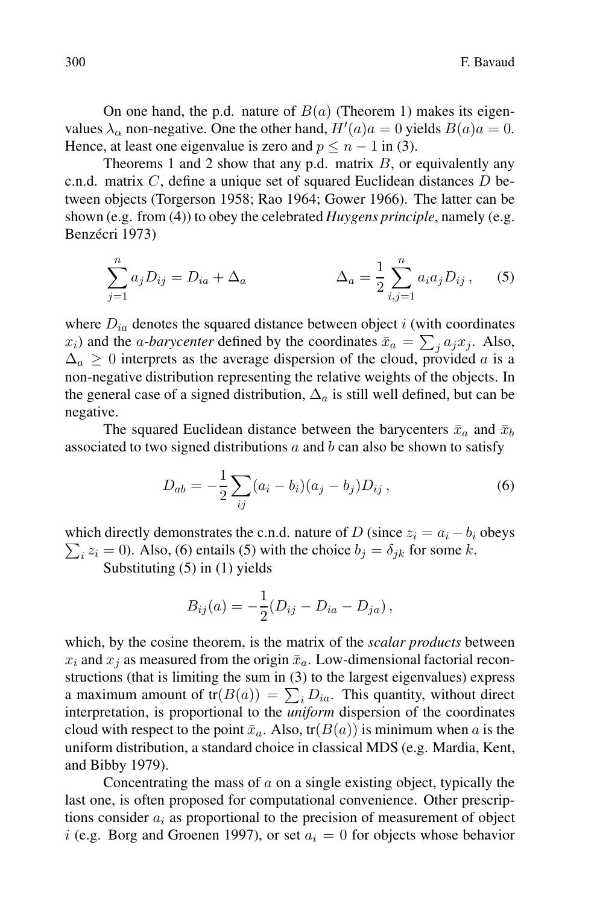On one hand, the p.d. nature of  $B(a)$  (Theorem 1) makes its eigenvalues  $\lambda_{\alpha}$  non-negative. One the other hand,  $H'(a)a = 0$  yields  $B(a)a = 0$ . Hence, at least one eigenvalue is zero and  $p \le n - 1$  in (3).

Theorems 1 and 2 show that any p.d. matrix  $B$ , or equivalently any c.n.d. matrix  $C$ , define a unique set of squared Euclidean distances  $D$  between objects (Torgerson 1958; Rao 1964; Gower 1966). The latter can be shown (e.g. from (4)) to obey the celebrated *Huygens principle*, namely (e.g. Benzécri 1973)

$$
\sum_{j=1}^{n} a_j D_{ij} = D_{ia} + \Delta_a \qquad \Delta_a = \frac{1}{2} \sum_{i,j=1}^{n} a_i a_j D_{ij}, \qquad (5)
$$

where  $D_{ia}$  denotes the squared distance between object i (with coordinates  $(x_i)$  and the *a-barycenter* defined by the coordinates  $\bar{x}_a = \sum_j a_j x_j$ . Also,  $\Delta_a \geq 0$  interprets as the average dispersion of the cloud, provided a is a non-negative distribution representing the relative weights of the objects. In the general case of a signed distribution,  $\Delta_a$  is still well defined, but can be negative.

The squared Euclidean distance between the barycenters  $\bar{x}_a$  and  $\bar{x}_b$ associated to two signed distributions  $a$  and  $b$  can also be shown to satisfy

$$
D_{ab} = -\frac{1}{2} \sum_{ij} (a_i - b_i)(a_j - b_j) D_{ij}, \qquad (6)
$$

 $\sum_i z_i = 0$ ). Also, (6) entails (5) with the choice  $b_j = \delta_{jk}$  for some k. which directly demonstrates the c.n.d. nature of D (since  $z_i = a_i - b_i$  obeys

Substituting (5) in (1) yields

$$
B_{ij}(a) = -\frac{1}{2}(D_{ij} - D_{ia} - D_{ja}),
$$

which, by the cosine theorem, is the matrix of the *scalar products* between  $x_i$  and  $x_j$  as measured from the origin  $\bar{x}_a$ . Low-dimensional factorial reconstructions (that is limiting the sum in (3) to the largest eigenvalues) express a maximum amount of  $tr(B(a)) = \sum_i D_{ia}$ . This quantity, without direct interpretation, is proportional to the *uniform* dispersion of the coordinates cloud with respect to the point  $\bar{x}_a$ . Also, tr( $B(a)$ ) is minimum when a is the uniform distribution, a standard choice in classical MDS (e.g. Mardia, Kent, and Bibby 1979).

Concentrating the mass of  $a$  on a single existing object, typically the last one, is often proposed for computational convenience. Other prescriptions consider  $a_i$  as proportional to the precision of measurement of object i (e.g. Borg and Groenen 1997), or set  $a_i = 0$  for objects whose behavior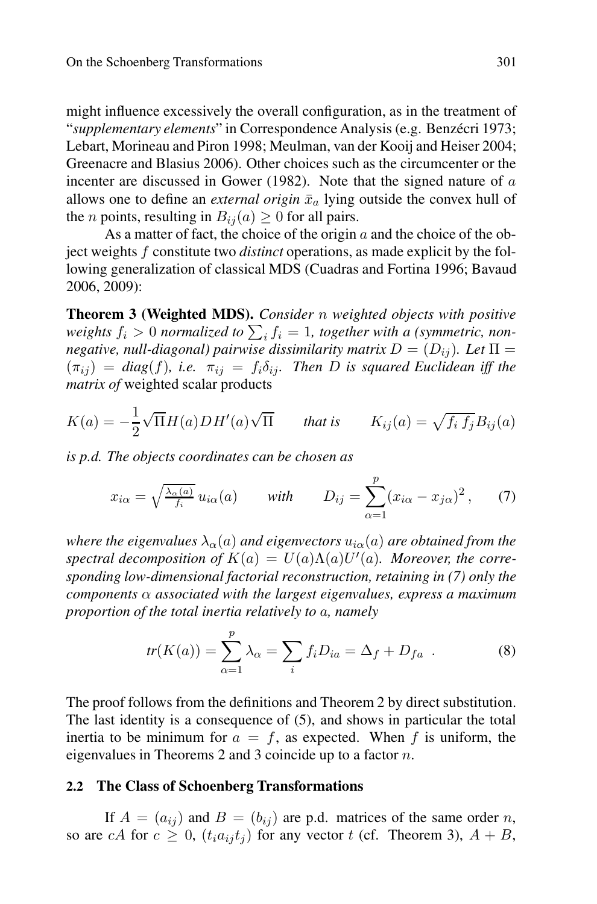might influence excessively the overall configuration, as in the treatment of "supplementary elements" in Correspondence Analysis (e.g. Benzécri 1973; Lebart, Morineau and Piron 1998; Meulman, van der Kooij and Heiser 2004; Greenacre and Blasius 2006). Other choices such as the circumcenter or the incenter are discussed in Gower (1982). Note that the signed nature of a allows one to define an *external origin*  $\bar{x}_a$  lying outside the convex hull of the *n* points, resulting in  $B_{ij}(a) \geq 0$  for all pairs.

As a matter of fact, the choice of the origin  $a$  and the choice of the object weights f constitute two *distinct* operations, as made explicit by the following generalization of classical MDS (Cuadras and Fortina 1996; Bavaud 2006, 2009):

**Theorem 3 (Weighted MDS).** *Consider* n *weighted objects with positive* weights  $f_i > 0$  normalized to  $\sum_i f_i = 1$ , together with a (symmetric, non*negative, null-diagonal) pairwise dissimilarity matrix*  $D = (D_{ij})$ *. Let*  $\Pi$  =  $(\pi_{ii})$  = *diag*(*f*), *i.e.*  $\pi_{ii}$  =  $f_i \delta_{ii}$ . Then D is squared Euclidean iff the *matrix of* weighted scalar products

$$
K(a) = -\frac{1}{2}\sqrt{\Pi}H(a)DH'(a)\sqrt{\Pi} \quad \text{that is} \quad K_{ij}(a) = \sqrt{f_i f_j}B_{ij}(a)
$$

*is p.d. The objects coordinates can be chosen as*

$$
x_{i\alpha} = \sqrt{\frac{\lambda_{\alpha}(a)}{f_i}} u_{i\alpha}(a) \quad \text{with} \quad D_{ij} = \sum_{\alpha=1}^p (x_{i\alpha} - x_{j\alpha})^2, \quad (7)
$$

*where the eigenvalues*  $\lambda_{\alpha}(a)$  *and eigenvectors*  $u_{i\alpha}(a)$  *are obtained from the*  $spectral decomposition$  of  $K(a) = U(a)\Lambda(a)U'(a)$ *. Moreover, the corresponding low-dimensional factorial reconstruction, retaining in (7) only the components* α *associated with the largest eigenvalues, express a maximum proportion of the total inertia relatively to* a*, namely*

$$
tr(K(a)) = \sum_{\alpha=1}^{p} \lambda_{\alpha} = \sum_{i} f_{i} D_{ia} = \Delta_{f} + D_{fa} \quad . \tag{8}
$$

The proof follows from the definitions and Theorem 2 by direct substitution. The last identity is a consequence of (5), and shows in particular the total inertia to be minimum for  $a = f$ , as expected. When f is uniform, the eigenvalues in Theorems 2 and 3 coincide up to a factor n.

#### **2.2 The Class of Schoenberg Transformations**

If  $A = (a_{ij})$  and  $B = (b_{ij})$  are p.d. matrices of the same order n, so are cA for  $c \ge 0$ ,  $(t_i a_{ij} t_j)$  for any vector t (cf. Theorem 3),  $A + B$ ,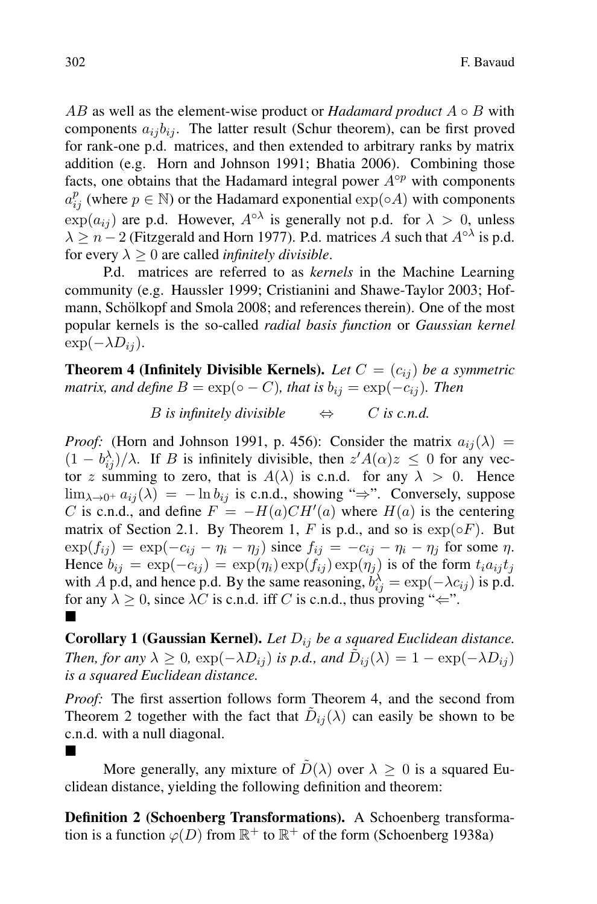AB as well as the element-wise product or *Hadamard product*  $A \circ B$  with components  $a_{ij}b_{ij}$ . The latter result (Schur theorem), can be first proved for rank-one p.d. matrices, and then extended to arbitrary ranks by matrix addition (e.g. Horn and Johnson 1991; Bhatia 2006). Combining those facts, one obtains that the Hadamard integral power  $A<sup>op</sup>$  with components  $a_{ij}^p$  (where  $p \in \mathbb{N}$ ) or the Hadamard exponential  $\exp(\circ A)$  with components  $\exp(a_{ij})$  are p.d. However,  $A^{\circ\lambda}$  is generally not p.d. for  $\lambda > 0$ , unless  $\lambda \geq n-2$  (Fitzgerald and Horn 1977). P.d. matrices A such that  $A^{\circ\lambda}$  is p.d. for every  $\lambda \geq 0$  are called *infinitely divisible*.

P.d. matrices are referred to as *kernels* in the Machine Learning community (e.g. Haussler 1999; Cristianini and Shawe-Taylor 2003; Hofmann, Schölkopf and Smola 2008; and references therein). One of the most popular kernels is the so-called *radial basis function* or *Gaussian kernel*  $\exp(-\lambda D_{ij}).$ 

**Theorem 4 (Infinitely Divisible Kernels).** Let  $C = (c_{ij})$  be a symmetric *matrix, and define*  $B = \exp(\circ - C)$ *, that is*  $b_{ij} = \exp(-c_{ij})$ *. Then* 

*B* is infinitely divisible  $\qquad \Leftrightarrow \qquad C$  is c.n.d.

*Proof:* (Horn and Johnson 1991, p. 456): Consider the matrix  $a_{ij}(\lambda)$  =  $(1 - b_{ij}^{\lambda})/\lambda$ . If B is infinitely divisible, then  $z' A(\alpha) z \leq 0$  for any vector z summing to zero, that is  $A(\lambda)$  is c.n.d. for any  $\lambda > 0$ . Hence  $\lim_{\lambda \to 0^+} a_{ij}(\lambda) = -\ln b_{ij}$  is c.n.d., showing " $\Rightarrow$ ". Conversely, suppose C is c.n.d., and define  $F = -H(a)CH'(a)$  where  $H(a)$  is the centering matrix of Section 2.1. By Theorem 1, F is p.d., and so is  $exp( \circ F)$ . But  $\exp(f_{ij}) = \exp(-c_{ij} - \eta_i - \eta_j)$  since  $f_{ij} = -c_{ij} - \eta_i - \eta_j$  for some  $\eta$ . Hence  $b_{ij} = \exp(-c_{ij}) = \exp(\eta_i) \exp(f_{ij}) \exp(\eta_j)$  is of the form  $t_i a_{ij} t_j$ with A p.d, and hence p.d. By the same reasoning,  $b_{ij}^{\lambda} = \exp(-\lambda c_{ij})$  is p.d. for any  $\lambda \geq 0$ , since  $\lambda C$  is c.n.d. iff C is c.n.d., thus proving " $\Leftarrow$ ". <u>.</u>

**Corollary 1 (Gaussian Kernel).** *Let*  $D_{ij}$  *be a squared Euclidean distance. Then, for any*  $\lambda \geq 0$ ,  $\exp(-\lambda D_{ij})$  *is p.d., and*  $\tilde{D}_{ij}(\lambda) = 1 - \exp(-\lambda D_{ij})$ *is a squared Euclidean distance.*

*Proof:* The first assertion follows form Theorem 4, and the second from Theorem 2 together with the fact that  $\tilde{D}_{ij}(\lambda)$  can easily be shown to be c.n.d. with a null diagonal.

## **.**

More generally, any mixture of  $\tilde{D}(\lambda)$  over  $\lambda \geq 0$  is a squared Euclidean distance, yielding the following definition and theorem:

**Definition 2 (Schoenberg Transformations).** A Schoenberg transformation is a function  $\varphi(D)$  from  $\mathbb{R}^+$  to  $\mathbb{R}^+$  of the form (Schoenberg 1938a)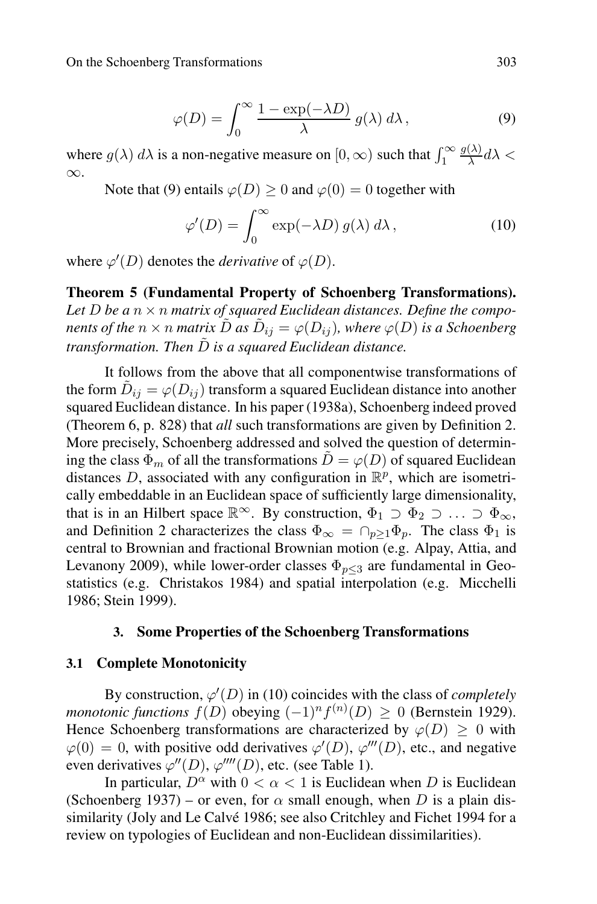$$
\varphi(D) = \int_0^\infty \frac{1 - \exp(-\lambda D)}{\lambda} g(\lambda) d\lambda, \qquad (9)
$$

where  $g(\lambda) d\lambda$  is a non-negative measure on  $[0, \infty)$  such that  $\int_1^{\infty}$  $\frac{g(\lambda)}{\lambda}d\lambda <$ ∞.

Note that (9) entails  $\varphi(D) > 0$  and  $\varphi(0) = 0$  together with

$$
\varphi'(D) = \int_0^\infty \exp(-\lambda D) g(\lambda) d\lambda, \qquad (10)
$$

where  $\varphi'(D)$  denotes the *derivative* of  $\varphi(D)$ .

**Theorem 5 (Fundamental Property of Schoenberg Transformations).** Let  $D$  be a  $n \times n$  matrix of squared Euclidean distances. Define the compo*nents of the*  $n \times n$  *matrix*  $\tilde{D}$  *as*  $\tilde{D}_{ij} = \varphi(D_{ij})$ *, where*  $\varphi(D)$  *is a Schoenberg transformation. Then*  $\tilde{D}$  *is a squared Euclidean distance.* 

It follows from the above that all componentwise transformations of the form  $\tilde{D}_{ij} = \varphi(D_{ij})$  transform a squared Euclidean distance into another squared Euclidean distance. In his paper (1938a), Schoenberg indeed proved (Theorem 6, p. 828) that *all* such transformations are given by Definition 2. More precisely, Schoenberg addressed and solved the question of determining the class  $\Phi_m$  of all the transformations  $\tilde{D} = \varphi(D)$  of squared Euclidean distances D, associated with any configuration in  $\mathbb{R}^p$ , which are isometrically embeddable in an Euclidean space of sufficiently large dimensionality, that is in an Hilbert space  $\mathbb{R}^{\infty}$ . By construction,  $\Phi_1 \supset \Phi_2 \supset \ldots \supset \Phi_{\infty}$ , and Definition 2 characterizes the class  $\Phi_{\infty} = \bigcap_{n>1} \Phi_n$ . The class  $\Phi_1$  is central to Brownian and fractional Brownian motion (e.g. Alpay, Attia, and Levanony 2009), while lower-order classes  $\Phi_{n\leq 3}$  are fundamental in Geostatistics (e.g. Christakos 1984) and spatial interpolation (e.g. Micchelli 1986; Stein 1999).

# **3. Some Properties of the Schoenberg Transformations**

#### **3.1 Complete Monotonicity**

By construction,  $\varphi'(D)$  in (10) coincides with the class of *completely monotonic functions*  $f(D)$  obeying  $(-1)^n f^{(n)}(D) \ge 0$  (Bernstein 1929). Hence Schoenberg transformations are characterized by  $\varphi(D) > 0$  with  $\varphi(0) = 0$ , with positive odd derivatives  $\varphi'(D)$ ,  $\varphi'''(D)$ , etc., and negative even derivatives  $\varphi''(D)$ ,  $\varphi'''(D)$ , etc. (see Table 1).

In particular,  $D^{\alpha}$  with  $0 < \alpha < 1$  is Euclidean when D is Euclidean (Schoenberg 1937) – or even, for  $\alpha$  small enough, when D is a plain dissimilarity (Joly and Le Calvé 1986; see also Critchley and Fichet 1994 for a review on typologies of Euclidean and non-Euclidean dissimilarities).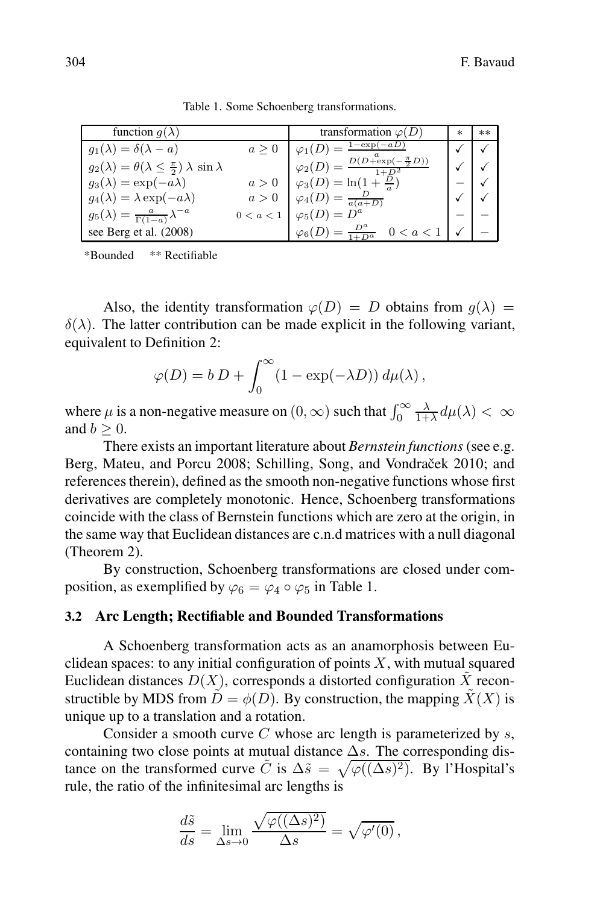| function $q(\lambda)$                                                    |             | transformation $\varphi(D)$                             | $\ast$ | $**$ |
|--------------------------------------------------------------------------|-------------|---------------------------------------------------------|--------|------|
| $g_1(\lambda) = \delta(\lambda - a)$                                     | a > 0       | $1-\exp(-aD)$                                           |        |      |
| $g_2(\lambda) = \theta(\lambda \leq \frac{\pi}{2}) \lambda \sin \lambda$ |             | $\varphi_2(D) = \frac{D(D + \exp(-\frac{\pi}{2}D))}{D}$ |        |      |
| $g_3(\lambda) = \exp(-a\lambda)$                                         |             | $a > 0$ $\varphi_3(D) = \ln(1 + \frac{D}{a})$           |        |      |
| $g_4(\lambda) = \lambda \exp(-a\lambda)$                                 | a>0         | $\varphi_4(D) = \frac{D}{a(a+D)}$                       |        |      |
| $g_5(\lambda) = \frac{a}{\Gamma(1-a)} \lambda^{-a}$                      | $0 < a < 1$ | $\varphi_5(D) = D^a$                                    |        |      |
| see Berg et al. (2008)                                                   |             | $\varphi_6(D) = \frac{D^a}{1+D^a}$                      |        |      |

Table 1. Some Schoenberg transformations.

\*Bounded \*\* Rectifiable

Also, the identity transformation  $\varphi(D) = D$  obtains from  $q(\lambda) =$  $\delta(\lambda)$ . The latter contribution can be made explicit in the following variant, equivalent to Definition 2:

$$
\varphi(D) = b D + \int_0^\infty (1 - \exp(-\lambda D)) d\mu(\lambda),
$$

where  $\mu$  is a non-negative measure on  $(0, \infty)$  such that  $\int_0^\infty$  $\frac{\lambda}{1+\lambda}d\mu(\lambda)<\infty$ and  $b > 0$ .

There exists an important literature about *Bernstein functions* (see e.g. Berg, Mateu, and Porcu 2008; Schilling, Song, and Vondraček 2010; and references therein), defined as the smooth non-negative functions whose first derivatives are completely monotonic. Hence, Schoenberg transformations coincide with the class of Bernstein functions which are zero at the origin, in the same way that Euclidean distances are c.n.d matrices with a null diagonal (Theorem 2).

By construction, Schoenberg transformations are closed under composition, as exemplified by  $\varphi_6 = \varphi_4 \circ \varphi_5$  in Table 1.

## **3.2 Arc Length; Rectifiable and Bounded Transformations**

A Schoenberg transformation acts as an anamorphosis between Euclidean spaces: to any initial configuration of points  $X$ , with mutual squared Euclidean distances  $D(X)$ , corresponds a distorted configuration  $\tilde{X}$  reconstructible by MDS from  $\tilde{D} = \phi(D)$ . By construction, the mapping  $\tilde{X}(X)$  is unique up to a translation and a rotation.

Consider a smooth curve  $C$  whose arc length is parameterized by  $s$ , containing two close points at mutual distance  $\Delta s$ . The corresponding distance on the transformed curve  $\tilde{C}$  is  $\Delta \tilde{s} = \sqrt{\varphi((\Delta s)^2)}$ . By l'Hospital's rule, the ratio of the infinitesimal arc lengths is

$$
\frac{d\tilde{s}}{ds} = \lim_{\Delta s \to 0} \frac{\sqrt{\varphi((\Delta s)^2)}}{\Delta s} = \sqrt{\varphi'(0)},
$$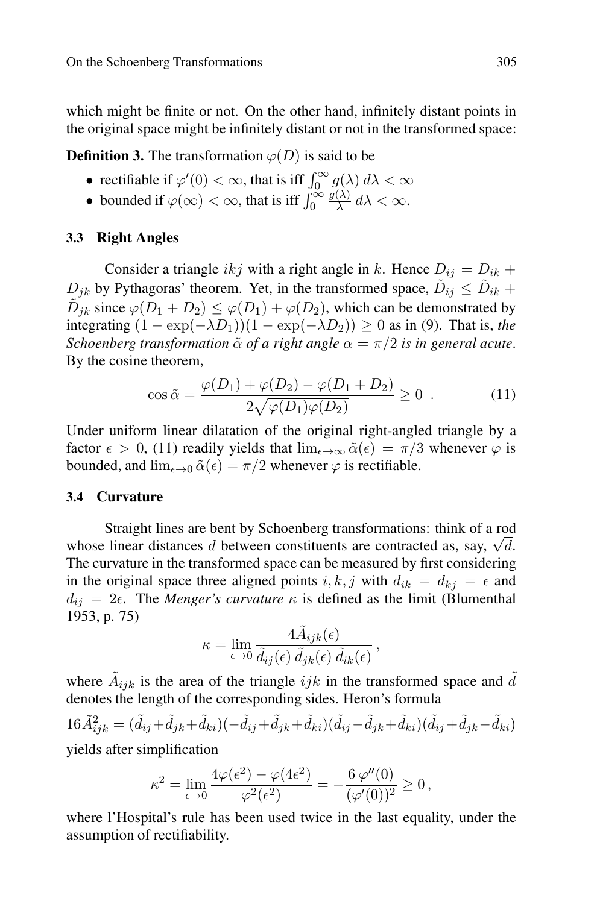which might be finite or not. On the other hand, infinitely distant points in the original space might be infinitely distant or not in the transformed space:

**Definition 3.** The transformation  $\varphi(D)$  is said to be

- rectifiable if  $\varphi'(0) < \infty$ , that is iff  $\int_0^\infty g(\lambda) d\lambda < \infty$
- bounded if  $\varphi(\infty) < \infty$ , that is iff  $\int_0^\infty$  $\frac{g(\lambda)}{\lambda} d\lambda < \infty.$

# **3.3 Right Angles**

Consider a triangle ikj with a right angle in k. Hence  $D_{ij} = D_{ik} +$  $D_{ik}$  by Pythagoras' theorem. Yet, in the transformed space,  $\tilde{D}_{ij} \leq \tilde{D}_{ik}$  +  $\tilde{D}_{jk}$  since  $\varphi(D_1 + D_2) \leq \varphi(D_1) + \varphi(D_2)$ , which can be demonstrated by integrating  $(1 - \exp(-\lambda D_1))(1 - \exp(-\lambda D_2)) \geq 0$  as in (9). That is, *the Schoenberg transformation*  $\tilde{\alpha}$  *of a right angle*  $\alpha = \pi/2$  *is in general acute.* By the cosine theorem,

$$
\cos \tilde{\alpha} = \frac{\varphi(D_1) + \varphi(D_2) - \varphi(D_1 + D_2)}{2\sqrt{\varphi(D_1)\varphi(D_2)}} \ge 0 . \tag{11}
$$

Under uniform linear dilatation of the original right-angled triangle by a factor  $\epsilon > 0$ , (11) readily yields that  $\lim_{\epsilon \to \infty} \tilde{\alpha}(\epsilon) = \pi/3$  whenever  $\varphi$  is bounded, and  $\lim_{\epsilon \to 0} \tilde{\alpha}(\epsilon) = \pi/2$  whenever  $\varphi$  is rectifiable.

#### **3.4 Curvature**

Straight lines are bent by Schoenberg transformations: think of a rod whose linear distances d between constituents are contracted as, say,  $\sqrt{d}$ . The curvature in the transformed space can be measured by first considering in the original space three aligned points i, k, j with  $d_{ik} = d_{ki} = \epsilon$  and  $d_{ij} = 2\epsilon$ . The *Menger's curvature*  $\kappa$  is defined as the limit (Blumenthal 1953, p. 75)

$$
\kappa = \lim_{\epsilon \to 0} \frac{4 \tilde{A}_{ijk}(\epsilon)}{\tilde{d}_{ij}(\epsilon) \, \tilde{d}_{jk}(\epsilon) \, \tilde{d}_{ik}(\epsilon)},
$$

where  $\tilde{A}_{ijk}$  is the area of the triangle  $ijk$  in the transformed space and  $\tilde{d}$ denotes the length of the corresponding sides. Heron's formula

$$
16\tilde{A}_{ijk}^2 = (\tilde{d}_{ij} + \tilde{d}_{jk} + \tilde{d}_{ki})(-\tilde{d}_{ij} + \tilde{d}_{jk} + \tilde{d}_{ki})(\tilde{d}_{ij} - \tilde{d}_{jk} + \tilde{d}_{ki})(\tilde{d}_{ij} + \tilde{d}_{jk} - \tilde{d}_{ki})
$$
 yields after simplification

$$
\kappa^2 = \lim_{\epsilon \to 0} \frac{4\varphi(\epsilon^2) - \varphi(4\epsilon^2)}{\varphi^2(\epsilon^2)} = -\frac{6 \varphi''(0)}{(\varphi'(0))^2} \ge 0,
$$

where l'Hospital's rule has been used twice in the last equality, under the assumption of rectifiability.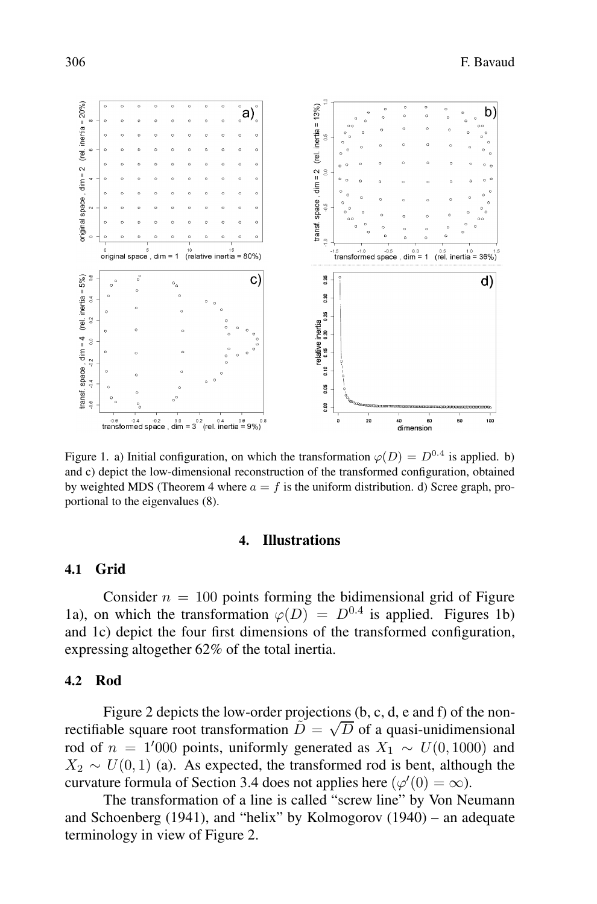

Figure 1. a) Initial configuration, on which the transformation  $\varphi(D) = D^{0.4}$  is applied. b) and c) depict the low-dimensional reconstruction of the transformed configuration, obtained by weighted MDS (Theorem 4 where  $a = f$  is the uniform distribution. d) Scree graph, proportional to the eigenvalues (8).

#### **4. Illustrations**

## **4.1 Grid**

Consider  $n = 100$  points forming the bidimensional grid of Figure 1a), on which the transformation  $\varphi(D) = D^{0.4}$  is applied. Figures 1b) and 1c) depict the four first dimensions of the transformed configuration, expressing altogether 62% of the total inertia.

#### **4.2 Rod**

Figure 2 depicts the low-order projections (b, c, d, e and f) of the nonrectifiable square root transformation  $\tilde{D} = \sqrt{D}$  of a quasi-unidimensional rod of  $n = 1'000$  points, uniformly generated as  $X_1 \sim U(0, 1000)$  and  $X_2 \sim U(0, 1)$  (a). As expected, the transformed rod is bent, although the curvature formula of Section 3.4 does not applies here  $(\varphi'(0) = \infty)$ .

The transformation of a line is called "screw line" by Von Neumann and Schoenberg (1941), and "helix" by Kolmogorov (1940) – an adequate terminology in view of Figure 2.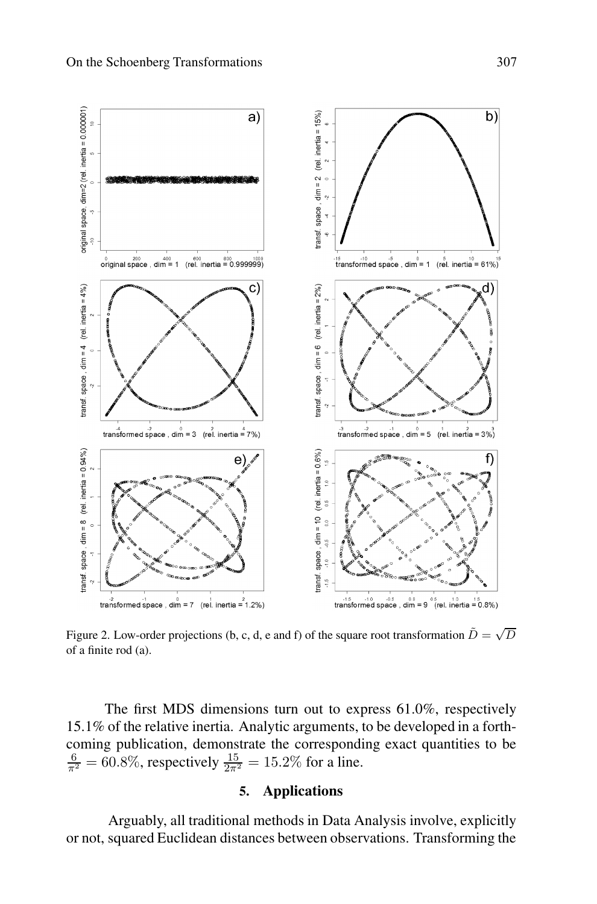

Figure 2. Low-order projections (b, c, d, e and f) of the square root transformation  $\tilde{D} = \sqrt{D}$ of a finite rod (a).

The first MDS dimensions turn out to express 61.0%, respectively 15.1% of the relative inertia. Analytic arguments, to be developed in a forthcoming publication, demonstrate the corresponding exact quantities to be  $\frac{6}{\pi^2}$  = 60.8%, respectively  $\frac{15}{2\pi^2}$  = 15.2% for a line.

# **5. Applications**

Arguably, all traditional methods in Data Analysis involve, explicitly or not, squared Euclidean distances between observations. Transforming the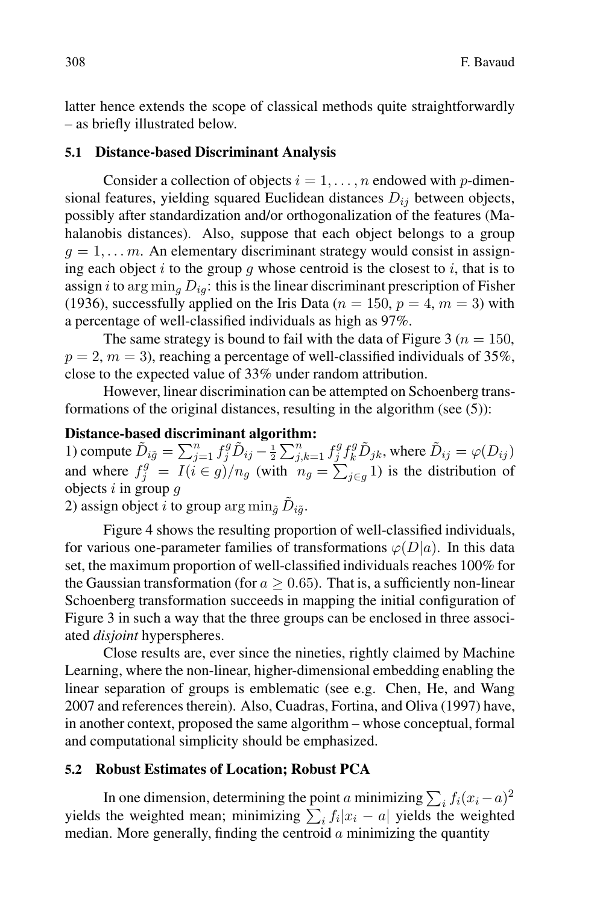latter hence extends the scope of classical methods quite straightforwardly – as briefly illustrated below.

# **5.1 Distance-based Discriminant Analysis**

Consider a collection of objects  $i = 1, \ldots, n$  endowed with p-dimensional features, yielding squared Euclidean distances  $D_{ij}$  between objects, possibly after standardization and/or orthogonalization of the features (Mahalanobis distances). Also, suppose that each object belongs to a group  $q = 1, \ldots, m$ . An elementary discriminant strategy would consist in assigning each object i to the group g whose centroid is the closest to i, that is to assign i to arg  $\min_a D_{ia}$ : this is the linear discriminant prescription of Fisher (1936), successfully applied on the Iris Data ( $n = 150$ ,  $p = 4$ ,  $m = 3$ ) with a percentage of well-classified individuals as high as 97%.

The same strategy is bound to fail with the data of Figure 3 ( $n = 150$ ,  $p = 2$ ,  $m = 3$ ), reaching a percentage of well-classified individuals of 35%, close to the expected value of 33% under random attribution.

However, linear discrimination can be attempted on Schoenberg transformations of the original distances, resulting in the algorithm (see (5)):

## **Distance-based discriminant algorithm:**

1) compute  $\tilde{D}_{i\tilde{g}} = \sum_{j=1}^n f_j^g \tilde{D}_{ij} - \frac{1}{2} \sum_{j,k=1}^n f_j^g f_k^g \tilde{D}_{jk}$ , where  $\tilde{D}_{ij} = \varphi(D_{ij})$ and where  $f_j^g = I(i \in g)/n_g$  (with  $n_g = \sum_{j \in g} 1$ ) is the distribution of objects  $i$  in group  $g$ 

2) assign object i to group  $\arg \min_{\tilde{q}} \tilde{D}_{i\tilde{q}}$ .

Figure 4 shows the resulting proportion of well-classified individuals, for various one-parameter families of transformations  $\varphi(D|a)$ . In this data set, the maximum proportion of well-classified individuals reaches 100% for the Gaussian transformation (for  $a \geq 0.65$ ). That is, a sufficiently non-linear Schoenberg transformation succeeds in mapping the initial configuration of Figure 3 in such a way that the three groups can be enclosed in three associated *disjoint* hyperspheres.

Close results are, ever since the nineties, rightly claimed by Machine Learning, where the non-linear, higher-dimensional embedding enabling the linear separation of groups is emblematic (see e.g. Chen, He, and Wang 2007 and references therein). Also, Cuadras, Fortina, and Oliva (1997) have, in another context, proposed the same algorithm – whose conceptual, formal and computational simplicity should be emphasized.

## **5.2 Robust Estimates of Location; Robust PCA**

In one dimension, determining the point a minimizing  $\sum_i f_i(x_i - a)^2$ yields the weighted mean; minimizing  $\sum_i f_i |x_i - a|$  yields the weighted median. More generally, finding the centroid  $\alpha$  minimizing the quantity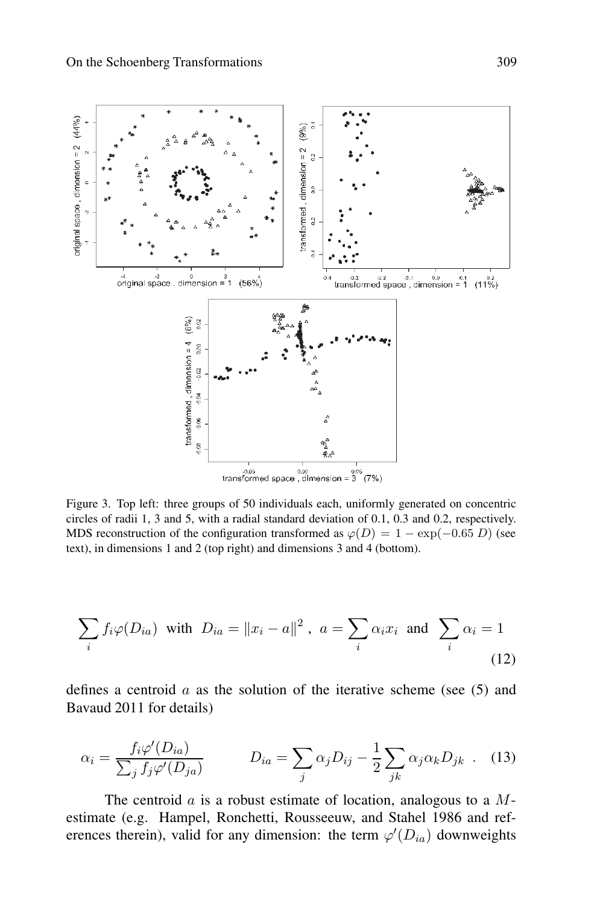

Figure 3. Top left: three groups of 50 individuals each, uniformly generated on concentric circles of radii 1, 3 and 5, with a radial standard deviation of 0.1, 0.3 and 0.2, respectively. MDS reconstruction of the configuration transformed as  $\varphi(D) = 1 - \exp(-0.65 D)$  (see text), in dimensions 1 and 2 (top right) and dimensions 3 and 4 (bottom).

$$
\sum_{i} f_i \varphi(D_{ia}) \text{ with } D_{ia} = \|x_i - a\|^2, \ a = \sum_{i} \alpha_i x_i \text{ and } \sum_{i} \alpha_i = 1
$$
\n(12)

defines a centroid  $\alpha$  as the solution of the iterative scheme (see (5) and Bavaud 2011 for details)

$$
\alpha_i = \frac{f_i \varphi'(D_{ia})}{\sum_j f_j \varphi'(D_{ja})} \qquad D_{ia} = \sum_j \alpha_j D_{ij} - \frac{1}{2} \sum_{jk} \alpha_j \alpha_k D_{jk} \quad (13)
$$

The centroid  $\alpha$  is a robust estimate of location, analogous to a  $M$ estimate (e.g. Hampel, Ronchetti, Rousseeuw, and Stahel 1986 and references therein), valid for any dimension: the term  $\varphi'(D_{ia})$  downweights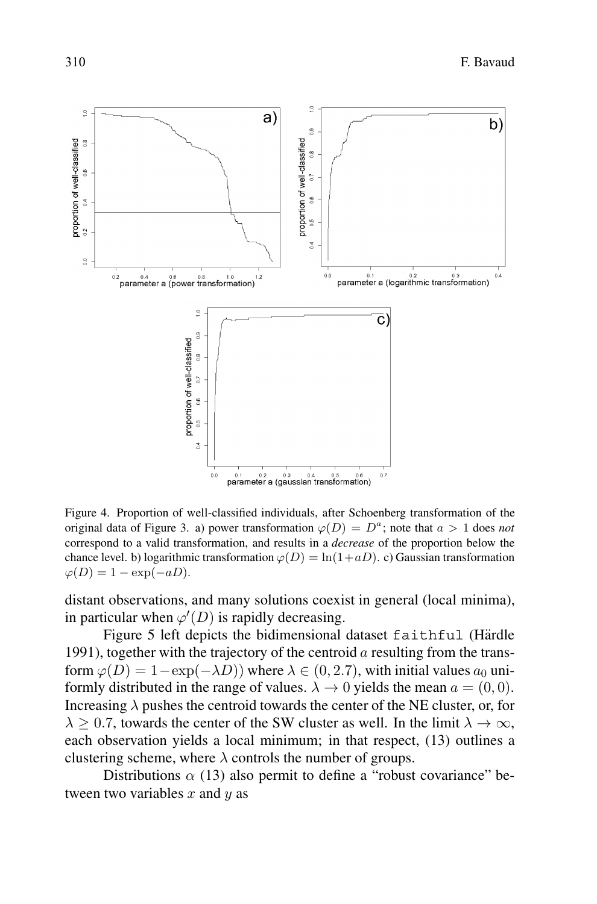

Figure 4. Proportion of well-classified individuals, after Schoenberg transformation of the original data of Figure 3. a) power transformation  $\varphi(D) = D^a$ ; note that  $a > 1$  does *not* correspond to a valid transformation, and results in a *decrease* of the proportion below the chance level. b) logarithmic transformation  $\varphi(D) = \ln(1+aD)$ . c) Gaussian transformation  $\varphi(D) = 1 - \exp(-aD).$ 

distant observations, and many solutions coexist in general (local minima), in particular when  $\varphi'(D)$  is rapidly decreasing.

Figure 5 left depicts the bidimensional dataset faithful (Härdle 1991), together with the trajectory of the centroid  $\alpha$  resulting from the transform  $\varphi(D)=1-\exp(-\lambda D)$ ) where  $\lambda \in (0, 2.7)$ , with initial values  $a_0$  uniformly distributed in the range of values.  $\lambda \to 0$  yields the mean  $a = (0, 0)$ . Increasing  $\lambda$  pushes the centroid towards the center of the NE cluster, or, for  $\lambda \geq 0.7$ , towards the center of the SW cluster as well. In the limit  $\lambda \to \infty$ , each observation yields a local minimum; in that respect, (13) outlines a clustering scheme, where  $\lambda$  controls the number of groups.

Distributions  $\alpha$  (13) also permit to define a "robust covariance" between two variables  $x$  and  $y$  as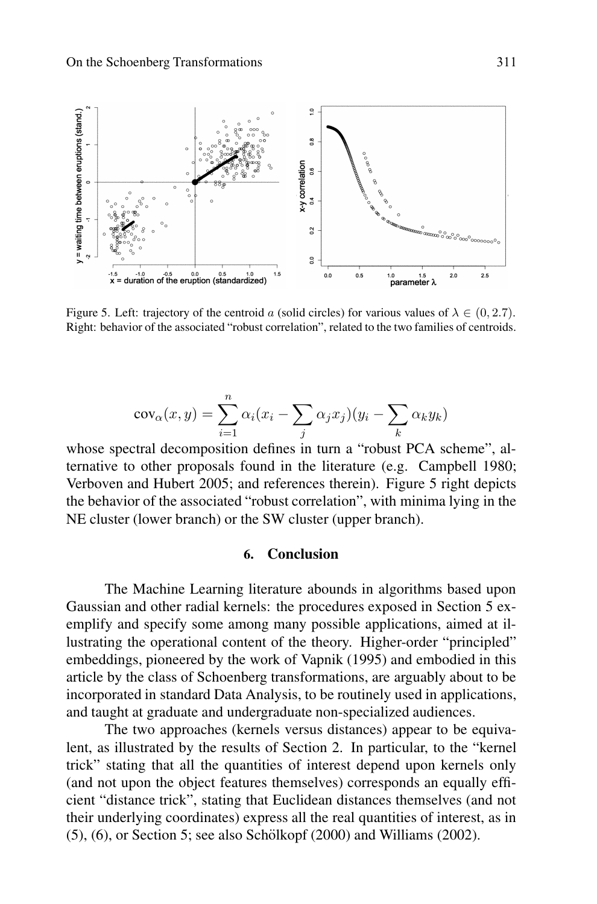

Figure 5. Left: trajectory of the centroid a (solid circles) for various values of  $\lambda \in (0, 2.7)$ . Right: behavior of the associated "robust correlation", related to the two families of centroids.

$$
cov_{\alpha}(x,y) = \sum_{i=1}^{n} \alpha_i (x_i - \sum_j \alpha_j x_j)(y_i - \sum_k \alpha_k y_k)
$$

whose spectral decomposition defines in turn a "robust PCA scheme", alternative to other proposals found in the literature (e.g. Campbell 1980; Verboven and Hubert 2005; and references therein). Figure 5 right depicts the behavior of the associated "robust correlation", with minima lying in the NE cluster (lower branch) or the SW cluster (upper branch).

# **6. Conclusion**

The Machine Learning literature abounds in algorithms based upon Gaussian and other radial kernels: the procedures exposed in Section 5 exemplify and specify some among many possible applications, aimed at illustrating the operational content of the theory. Higher-order "principled" embeddings, pioneered by the work of Vapnik (1995) and embodied in this article by the class of Schoenberg transformations, are arguably about to be incorporated in standard Data Analysis, to be routinely used in applications, and taught at graduate and undergraduate non-specialized audiences.

The two approaches (kernels versus distances) appear to be equivalent, as illustrated by the results of Section 2. In particular, to the "kernel trick" stating that all the quantities of interest depend upon kernels only (and not upon the object features themselves) corresponds an equally efficient "distance trick", stating that Euclidean distances themselves (and not their underlying coordinates) express all the real quantities of interest, as in  $(5)$ ,  $(6)$ , or Section 5; see also Schölkopf  $(2000)$  and Williams  $(2002)$ .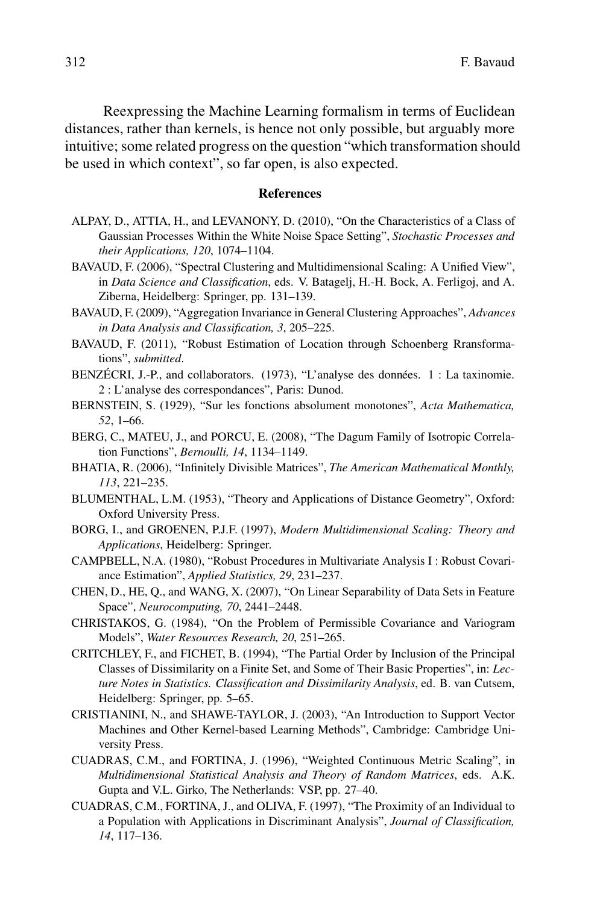Reexpressing the Machine Learning formalism in terms of Euclidean distances, rather than kernels, is hence not only possible, but arguably more intuitive; some related progress on the question "which transformation should be used in which context", so far open, is also expected.

#### **References**

- ALPAY, D., ATTIA, H., and LEVANONY, D. (2010), "On the Characteristics of a Class of Gaussian Processes Within the White Noise Space Setting", *Stochastic Processes and their Applications, 120*, 1074–1104.
- BAVAUD, F. (2006), "Spectral Clustering and Multidimensional Scaling: A Unified View", in *Data Science and Classification*, eds. V. Batagelj, H.-H. Bock, A. Ferligoj, and A. Ziberna, Heidelberg: Springer, pp. 131–139.
- BAVAUD, F. (2009), "Aggregation Invariance in General Clustering Approaches", *Advances in Data Analysis and Classification, 3*, 205–225.
- BAVAUD, F. (2011), "Robust Estimation of Location through Schoenberg Rransformations", *submitted*.
- BENZÉCRI, J.-P., and collaborators.  $(1973)$ , "L'analyse des données. 1 : La taxinomie. 2 : L'analyse des correspondances", Paris: Dunod.
- BERNSTEIN, S. (1929), "Sur les fonctions absolument monotones", *Acta Mathematica, 52*, 1–66.
- BERG, C., MATEU, J., and PORCU, E. (2008), "The Dagum Family of Isotropic Correlation Functions", *Bernoulli, 14*, 1134–1149.
- BHATIA, R. (2006), "Infinitely Divisible Matrices", *The American Mathematical Monthly, 113*, 221–235.
- BLUMENTHAL, L.M. (1953), "Theory and Applications of Distance Geometry", Oxford: Oxford University Press.
- BORG, I., and GROENEN, P.J.F. (1997), *Modern Multidimensional Scaling: Theory and Applications*, Heidelberg: Springer.
- CAMPBELL, N.A. (1980), "Robust Procedures in Multivariate Analysis I : Robust Covariance Estimation", *Applied Statistics, 29*, 231–237.
- CHEN, D., HE, Q., and WANG, X. (2007), "On Linear Separability of Data Sets in Feature Space", *Neurocomputing, 70*, 2441–2448.
- CHRISTAKOS, G. (1984), "On the Problem of Permissible Covariance and Variogram Models", *Water Resources Research, 20*, 251–265.
- CRITCHLEY, F., and FICHET, B. (1994), "The Partial Order by Inclusion of the Principal Classes of Dissimilarity on a Finite Set, and Some of Their Basic Properties", in: *Lecture Notes in Statistics. Classification and Dissimilarity Analysis*, ed. B. van Cutsem, Heidelberg: Springer, pp. 5–65.
- CRISTIANINI, N., and SHAWE-TAYLOR, J. (2003), "An Introduction to Support Vector Machines and Other Kernel-based Learning Methods", Cambridge: Cambridge University Press.
- CUADRAS, C.M., and FORTINA, J. (1996), "Weighted Continuous Metric Scaling", in *Multidimensional Statistical Analysis and Theory of Random Matrices*, eds. A.K. Gupta and V.L. Girko, The Netherlands: VSP, pp. 27–40.
- CUADRAS, C.M., FORTINA, J., and OLIVA, F. (1997), "The Proximity of an Individual to a Population with Applications in Discriminant Analysis", *Journal of Classification, 14*, 117–136.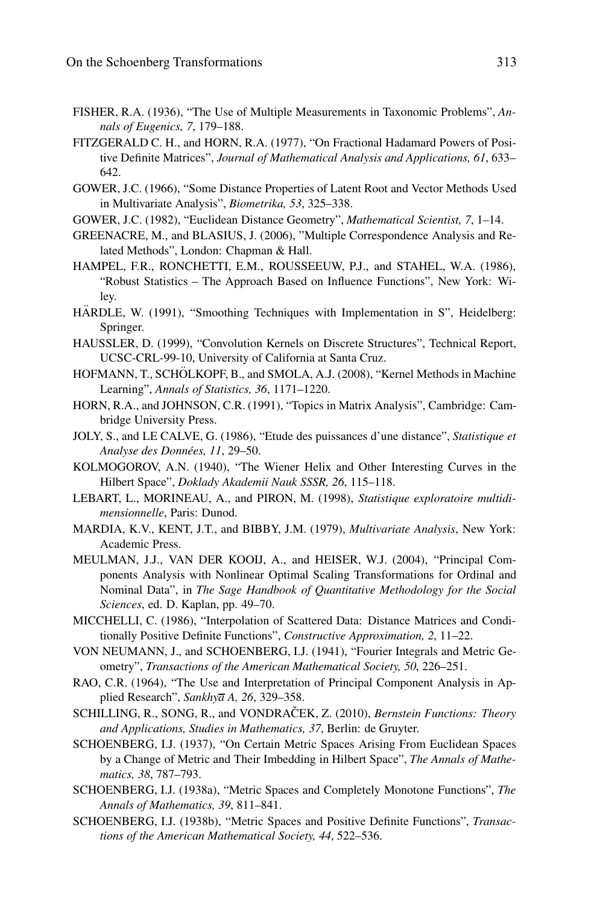- FISHER, R.A. (1936), "The Use of Multiple Measurements in Taxonomic Problems", *Annals of Eugenics, 7*, 179–188.
- FITZGERALD C. H., and HORN, R.A. (1977), "On Fractional Hadamard Powers of Positive Definite Matrices", *Journal of Mathematical Analysis and Applications, 61*, 633– 642.
- GOWER, J.C. (1966), "Some Distance Properties of Latent Root and Vector Methods Used in Multivariate Analysis", *Biometrika, 53*, 325–338.
- GOWER, J.C. (1982), "Euclidean Distance Geometry", *Mathematical Scientist, 7*, 1–14.
- GREENACRE, M., and BLASIUS, J. (2006), "Multiple Correspondence Analysis and Related Methods", London: Chapman & Hall.
- HAMPEL, F.R., RONCHETTI, E.M., ROUSSEEUW, P.J., and STAHEL, W.A. (1986), "Robust Statistics – The Approach Based on Influence Functions", New York: Wiley.
- HÄRDLE, W. (1991), "Smoothing Techniques with Implementation in S", Heidelberg: Springer.
- HAUSSLER, D. (1999), "Convolution Kernels on Discrete Structures", Technical Report, UCSC-CRL-99-10, University of California at Santa Cruz.
- HOFMANN, T., SCHÖLKOPF, B., and SMOLA, A.J. (2008), "Kernel Methods in Machine Learning", *Annals of Statistics, 36*, 1171–1220.
- HORN, R.A., and JOHNSON, C.R. (1991), "Topics in Matrix Analysis", Cambridge: Cambridge University Press.
- JOLY, S., and LE CALVE, G. (1986), "Etude des puissances d'une distance", *Statistique et Analyse des Donn´ees, 11*, 29–50.
- KOLMOGOROV, A.N. (1940), "The Wiener Helix and Other Interesting Curves in the Hilbert Space", *Doklady Akademii Nauk SSSR, 26*, 115–118.
- LEBART, L., MORINEAU, A., and PIRON, M. (1998), *Statistique exploratoire multidimensionnelle*, Paris: Dunod.
- MARDIA, K.V., KENT, J.T., and BIBBY, J.M. (1979), *Multivariate Analysis*, New York: Academic Press.
- MEULMAN, J.J., VAN DER KOOIJ, A., and HEISER, W.J. (2004), "Principal Components Analysis with Nonlinear Optimal Scaling Transformations for Ordinal and Nominal Data", in *The Sage Handbook of Quantitative Methodology for the Social Sciences*, ed. D. Kaplan, pp. 49–70.
- MICCHELLI, C. (1986), "Interpolation of Scattered Data: Distance Matrices and Conditionally Positive Definite Functions", *Constructive Approximation, 2*, 11–22.
- VON NEUMANN, J., and SCHOENBERG, I.J. (1941), "Fourier Integrals and Metric Geometry", *Transactions of the American Mathematical Society, 50*, 226–251.
- RAO, C.R. (1964), "The Use and Interpretation of Principal Component Analysis in Applied Research", *Sankhya A, 26*, 329–358.
- SCHILLING, R., SONG, R., and VONDRAČEK, Z. (2010), *Bernstein Functions: Theory and Applications, Studies in Mathematics, 37*, Berlin: de Gruyter.
- SCHOENBERG, I.J. (1937), "On Certain Metric Spaces Arising From Euclidean Spaces by a Change of Metric and Their Imbedding in Hilbert Space", *The Annals of Mathematics, 38*, 787–793.
- SCHOENBERG, I.J. (1938a), "Metric Spaces and Completely Monotone Functions", *The Annals of Mathematics, 39*, 811–841.
- SCHOENBERG, I.J. (1938b), "Metric Spaces and Positive Definite Functions", *Transactions of the American Mathematical Society, 44*, 522–536.